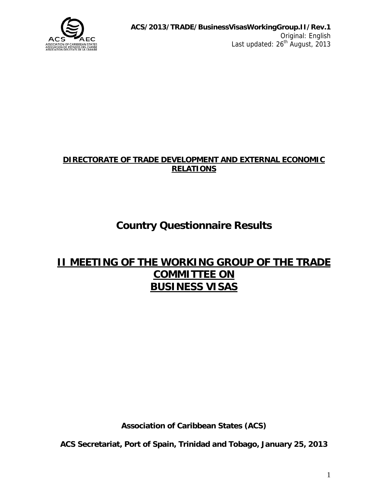

#### **DIRECTORATE OF TRADE DEVELOPMENT AND EXTERNAL ECONOMIC RELATIONS**

# **Country Questionnaire Results**

## **II MEETING OF THE WORKING GROUP OF THE TRADE COMMITTEE ON BUSINESS VISAS**

**Association of Caribbean States (ACS)** 

**ACS Secretariat, Port of Spain, Trinidad and Tobago, January 25, 2013**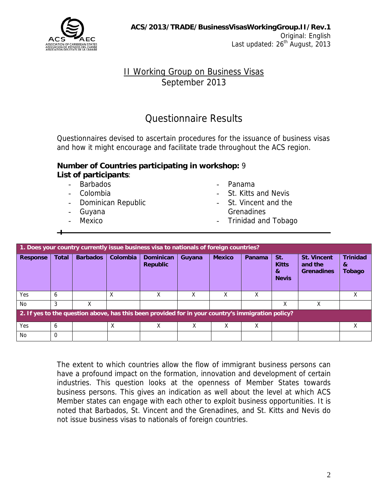

### II Working Group on Business Visas September 2013

### Questionnaire Results

Questionnaires devised to ascertain procedures for the issuance of business visas and how it might encourage and facilitate trade throughout the ACS region.

#### **Number of Countries participating in workshop:** 9 **List of participants**:

- Barbados  **Panama**
- 
- Dominican Republic **Communist Communist Communist Communist Communist Communist Communist Communist Communist Communist Communist Communist Communist Communist Communist Communist Communist Communist Communist Communist**
- 
- 
- 
- Colombia  **St. Kitts and Nevis**
- Guyana Grenadines
- Mexico Trinidad and Tobago

| 1. Does your country currently issue business visa to nationals of foreign countries?             |              |                 |          |                                     |        |               |        |                                          |                                                    |                                |
|---------------------------------------------------------------------------------------------------|--------------|-----------------|----------|-------------------------------------|--------|---------------|--------|------------------------------------------|----------------------------------------------------|--------------------------------|
| <b>Response</b>                                                                                   | <b>Total</b> | <b>Barbados</b> | Colombia | <b>Dominican</b><br><b>Republic</b> | Guyana | <b>Mexico</b> | Panama | St.<br><b>Kitts</b><br>&<br><b>Nevis</b> | <b>St. Vincent</b><br>and the<br><b>Grenadines</b> | <b>Trinidad</b><br>&<br>Tobago |
| Yes                                                                                               | 6            |                 | X        | Χ                                   | Χ      | X             | Χ      |                                          |                                                    | x                              |
| No                                                                                                | 3            | x               |          |                                     |        |               |        | Χ                                        | Χ                                                  |                                |
| 2. If yes to the question above, has this been provided for in your country's immigration policy? |              |                 |          |                                     |        |               |        |                                          |                                                    |                                |
| Yes                                                                                               | 6            |                 | Χ        |                                     | x      | х             | Χ      |                                          |                                                    | Χ                              |
| No                                                                                                | $\Omega$     |                 |          |                                     |        |               |        |                                          |                                                    |                                |

The extent to which countries allow the flow of immigrant business persons can have a profound impact on the formation, innovation and development of certain industries. This question looks at the openness of Member States towards business persons. This gives an indication as well about the level at which ACS Member states can engage with each other to exploit business opportunities. It is noted that Barbados, St. Vincent and the Grenadines, and St. Kitts and Nevis do not issue business visas to nationals of foreign countries.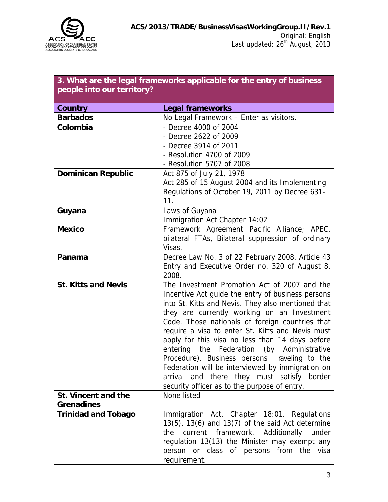

| 3. What are the legal frameworks applicable for the entry of business |  |
|-----------------------------------------------------------------------|--|
| people into our territory?                                            |  |

| Country                    | <b>Legal frameworks</b>                                 |
|----------------------------|---------------------------------------------------------|
| <b>Barbados</b>            | No Legal Framework - Enter as visitors.                 |
| Colombia                   | - Decree 4000 of 2004                                   |
|                            | - Decree 2622 of 2009                                   |
|                            | - Decree 3914 of 2011                                   |
|                            | - Resolution 4700 of 2009                               |
|                            | - Resolution 5707 of 2008                               |
| <b>Dominican Republic</b>  | Act 875 of July 21, 1978                                |
|                            | Act 285 of 15 August 2004 and its Implementing          |
|                            | Regulations of October 19, 2011 by Decree 631-          |
|                            | 11.                                                     |
| Guyana                     | Laws of Guyana                                          |
|                            | Immigration Act Chapter 14:02                           |
| <b>Mexico</b>              | Framework Agreement Pacific Alliance; APEC,             |
|                            | bilateral FTAs, Bilateral suppression of ordinary       |
|                            | Visas.                                                  |
| Panama                     | Decree Law No. 3 of 22 February 2008. Article 43        |
|                            | Entry and Executive Order no. 320 of August 8,<br>2008. |
| <b>St. Kitts and Nevis</b> | The Investment Promotion Act of 2007 and the            |
|                            | Incentive Act guide the entry of business persons       |
|                            | into St. Kitts and Nevis. They also mentioned that      |
|                            | they are currently working on an Investment             |
|                            | Code. Those nationals of foreign countries that         |
|                            | require a visa to enter St. Kitts and Nevis must        |
|                            | apply for this visa no less than 14 days before         |
|                            | entering the Federation (by Administrative              |
|                            | Procedure). Business persons raveling to the            |
|                            | Federation will be interviewed by immigration on        |
|                            | arrival and there they must satisfy border              |
|                            | security officer as to the purpose of entry.            |
| St. Vincent and the        | None listed                                             |
| <b>Grenadines</b>          |                                                         |
| <b>Trinidad and Tobago</b> | Immigration Act, Chapter 18:01. Regulations             |
|                            | $13(5)$ , $13(6)$ and $13(7)$ of the said Act determine |
|                            | current framework. Additionally under<br>the            |
|                            | regulation 13(13) the Minister may exempt any           |
|                            | person or class of persons from the visa                |
|                            | requirement.                                            |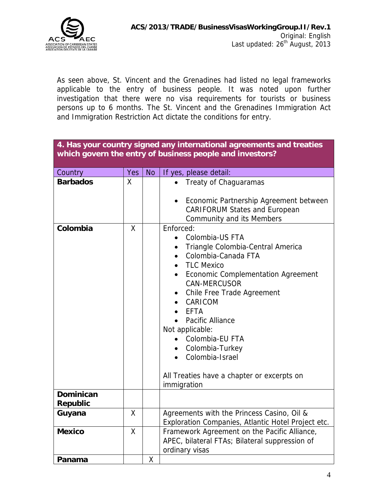

As seen above, St. Vincent and the Grenadines had listed no legal frameworks applicable to the entry of business people. It was noted upon further investigation that there were no visa requirements for tourists or business persons up to 6 months. The St. Vincent and the Grenadines Immigration Act and Immigration Restriction Act dictate the conditions for entry.

| 4. Has your country signed any international agreements and treaties<br>which govern the entry of business people and investors? |                    |           |                                                                                                                                                                                                                                                                                                                                                                                                                                                     |  |  |
|----------------------------------------------------------------------------------------------------------------------------------|--------------------|-----------|-----------------------------------------------------------------------------------------------------------------------------------------------------------------------------------------------------------------------------------------------------------------------------------------------------------------------------------------------------------------------------------------------------------------------------------------------------|--|--|
|                                                                                                                                  |                    |           |                                                                                                                                                                                                                                                                                                                                                                                                                                                     |  |  |
| Country                                                                                                                          | Yes                | <b>No</b> | If yes, please detail:                                                                                                                                                                                                                                                                                                                                                                                                                              |  |  |
| <b>Barbados</b>                                                                                                                  | X                  |           | Treaty of Chaguaramas<br>Economic Partnership Agreement between<br><b>CARIFORUM States and European</b><br><b>Community and its Members</b>                                                                                                                                                                                                                                                                                                         |  |  |
| Colombia                                                                                                                         | $\mathsf{X}$       |           | Enforced:<br>Colombia-US FTA<br>$\bullet$<br>Triangle Colombia-Central America<br>$\bullet$<br>Colombia-Canada FTA<br>$\bullet$<br><b>TLC Mexico</b><br>Economic Complementation Agreement<br>$\bullet$<br><b>CAN-MERCUSOR</b><br>Chile Free Trade Agreement<br>CARICOM<br><b>EFTA</b><br>Pacific Alliance<br>Not applicable:<br>Colombia-EU FTA<br>Colombia-Turkey<br>Colombia-Israel<br>All Treaties have a chapter or excerpts on<br>immigration |  |  |
| <b>Dominican</b><br><b>Republic</b>                                                                                              |                    |           |                                                                                                                                                                                                                                                                                                                                                                                                                                                     |  |  |
| Guyana                                                                                                                           | X                  |           | Agreements with the Princess Casino, Oil &<br>Exploration Companies, Atlantic Hotel Project etc.                                                                                                                                                                                                                                                                                                                                                    |  |  |
| <b>Mexico</b>                                                                                                                    | $\mathsf{X}% _{0}$ |           | Framework Agreement on the Pacific Alliance,<br>APEC, bilateral FTAs; Bilateral suppression of<br>ordinary visas                                                                                                                                                                                                                                                                                                                                    |  |  |
| Panama                                                                                                                           |                    | Χ         |                                                                                                                                                                                                                                                                                                                                                                                                                                                     |  |  |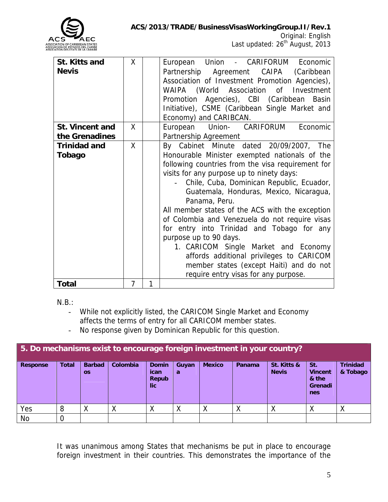

| St. Kitts and<br><b>Nevis</b>            | X |   | European Union - CARIFORUM Economic<br>Partnership Agreement CAIPA (Caribbean<br>Association of Investment Promotion Agencies),<br>WAIPA (World Association of Investment<br>Promotion Agencies), CBI (Caribbean Basin<br>Initiative), CSME (Caribbean Single Market and<br>Economy) and CARIBCAN.                                                                                                                                                                                                                                                                                                                                                      |
|------------------------------------------|---|---|---------------------------------------------------------------------------------------------------------------------------------------------------------------------------------------------------------------------------------------------------------------------------------------------------------------------------------------------------------------------------------------------------------------------------------------------------------------------------------------------------------------------------------------------------------------------------------------------------------------------------------------------------------|
| <b>St. Vincent and</b><br>the Grenadines | X |   | Economic<br>European Union- CARIFORUM<br>Partnership Agreement                                                                                                                                                                                                                                                                                                                                                                                                                                                                                                                                                                                          |
| <b>Trinidad and</b><br>Tobago            | X |   | By Cabinet Minute dated 20/09/2007, The<br>Honourable Minister exempted nationals of the<br>following countries from the visa requirement for<br>visits for any purpose up to ninety days:<br>Chile, Cuba, Dominican Republic, Ecuador,<br>Guatemala, Honduras, Mexico, Nicaragua,<br>Panama, Peru.<br>All member states of the ACS with the exception<br>of Colombia and Venezuela do not require visas<br>for entry into Trinidad and Tobago for any<br>purpose up to 90 days.<br>1. CARICOM Single Market and Economy<br>affords additional privileges to CARICOM<br>member states (except Haiti) and do not<br>require entry visas for any purpose. |
| <b>Total</b>                             | 7 | 1 |                                                                                                                                                                                                                                                                                                                                                                                                                                                                                                                                                                                                                                                         |

N.B.:

- While not explicitly listed, the CARICOM Single Market and Economy affects the terms of entry for all CARICOM member states.
- No response given by Dominican Republic for this question.

| 5. Do mechanisms exist to encourage foreign investment in your country? |              |                            |          |                                                    |            |               |        |                             |                                                  |                             |
|-------------------------------------------------------------------------|--------------|----------------------------|----------|----------------------------------------------------|------------|---------------|--------|-----------------------------|--------------------------------------------------|-----------------------------|
| <b>Response</b>                                                         | <b>Total</b> | <b>Barbad</b><br><b>OS</b> | Colombia | <b>Domin</b><br><b>ican</b><br>Repub<br><b>lic</b> | Guyan<br>a | <b>Mexico</b> | Panama | St. Kitts &<br><b>Nevis</b> | St.<br><b>Vincent</b><br>& the<br>Grenadi<br>nes | <b>Trinidad</b><br>& Tobago |
| Yes                                                                     | 8            | Χ                          | ∧        | Χ                                                  | Χ          |               | v<br>∧ | ν<br>v                      | Χ                                                |                             |
| No                                                                      |              |                            |          |                                                    |            |               |        |                             |                                                  |                             |

It was unanimous among States that mechanisms be put in place to encourage foreign investment in their countries. This demonstrates the importance of the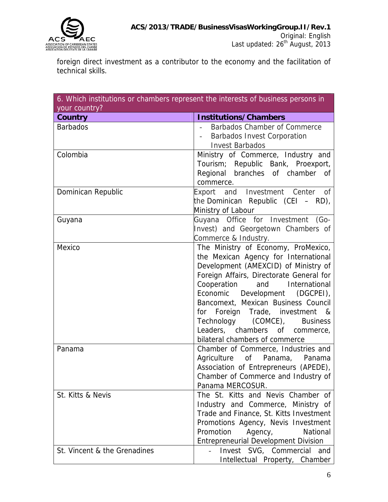

foreign direct investment as a contributor to the economy and the facilitation of technical skills.

| your country?                | 6. Which institutions or chambers represent the interests of business persons in                                                                                                                                                                                                                                                                                                                                       |
|------------------------------|------------------------------------------------------------------------------------------------------------------------------------------------------------------------------------------------------------------------------------------------------------------------------------------------------------------------------------------------------------------------------------------------------------------------|
| Country                      | <b>Institutions/Chambers</b>                                                                                                                                                                                                                                                                                                                                                                                           |
| <b>Barbados</b>              | Barbados Chamber of Commerce<br><b>Barbados Invest Corporation</b><br><b>Invest Barbados</b>                                                                                                                                                                                                                                                                                                                           |
| Colombia                     | Ministry of Commerce, Industry and<br>Tourism; Republic Bank, Proexport,<br>Regional branches of chamber of<br>commerce.                                                                                                                                                                                                                                                                                               |
| Dominican Republic           | Export and Investment Center of<br>the Dominican Republic (CEI $-$ RD),<br>Ministry of Labour                                                                                                                                                                                                                                                                                                                          |
| Guyana                       | Guyana Office for Investment (Go-<br>Invest) and Georgetown Chambers of<br>Commerce & Industry.                                                                                                                                                                                                                                                                                                                        |
| Mexico                       | The Ministry of Economy, ProMexico,<br>the Mexican Agency for International<br>Development (AMEXCID) of Ministry of<br>Foreign Affairs, Directorate General for<br>Cooperation<br>and International<br>(DGCPEI),<br>Economic Development<br>Bancomext, Mexican Business Council<br>for Foreign Trade, investment &<br>Technology (COMCE), Business<br>Leaders, chambers of commerce,<br>bilateral chambers of commerce |
| Panama                       | Chamber of Commerce, Industries and<br>Agriculture<br>of Panama, Panama<br>Association of Entrepreneurs (APEDE),<br>Chamber of Commerce and Industry of<br>Panama MERCOSUR.                                                                                                                                                                                                                                            |
| St. Kitts & Nevis            | The St. Kitts and Nevis Chamber of<br>Industry and Commerce, Ministry of<br>Trade and Finance, St. Kitts Investment<br>Promotions Agency, Nevis Investment<br>Promotion<br>Agency,<br>National<br><b>Entrepreneurial Development Division</b>                                                                                                                                                                          |
| St. Vincent & the Grenadines | Invest SVG, Commercial and<br>Intellectual Property, Chamber                                                                                                                                                                                                                                                                                                                                                           |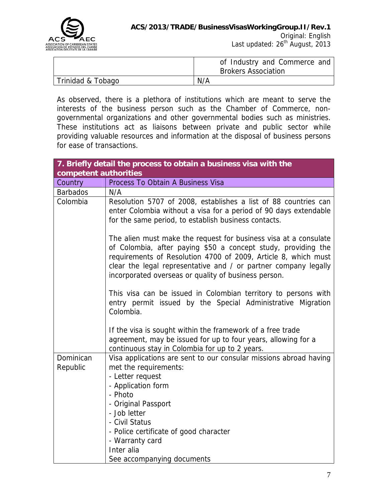

|                   | of Industry and Commerce and<br><b>Brokers Association</b> |
|-------------------|------------------------------------------------------------|
|                   |                                                            |
| Trinidad & Tobago | N/A                                                        |

As observed, there is a plethora of institutions which are meant to serve the interests of the business person such as the Chamber of Commerce, nongovernmental organizations and other governmental bodies such as ministries. These institutions act as liaisons between private and public sector while providing valuable resources and information at the disposal of business persons for ease of transactions.

|                       | 7. Briefly detail the process to obtain a business visa with the                                                                                                                                                                                                                                                               |
|-----------------------|--------------------------------------------------------------------------------------------------------------------------------------------------------------------------------------------------------------------------------------------------------------------------------------------------------------------------------|
| competent authorities |                                                                                                                                                                                                                                                                                                                                |
| Country               | Process To Obtain A Business Visa                                                                                                                                                                                                                                                                                              |
| <b>Barbados</b>       | N/A                                                                                                                                                                                                                                                                                                                            |
| Colombia              | Resolution 5707 of 2008, establishes a list of 88 countries can<br>enter Colombia without a visa for a period of 90 days extendable<br>for the same period, to establish business contacts.                                                                                                                                    |
|                       | The alien must make the request for business visa at a consulate<br>of Colombia, after paying \$50 a concept study, providing the<br>requirements of Resolution 4700 of 2009, Article 8, which must<br>clear the legal representative and / or partner company legally<br>incorporated overseas or quality of business person. |
|                       | This visa can be issued in Colombian territory to persons with<br>entry permit issued by the Special Administrative Migration<br>Colombia.                                                                                                                                                                                     |
|                       | If the visa is sought within the framework of a free trade<br>agreement, may be issued for up to four years, allowing for a<br>continuous stay in Colombia for up to 2 years.                                                                                                                                                  |
| Dominican             | Visa applications are sent to our consular missions abroad having                                                                                                                                                                                                                                                              |
| Republic              | met the requirements:                                                                                                                                                                                                                                                                                                          |
|                       | - Letter request                                                                                                                                                                                                                                                                                                               |
|                       | - Application form                                                                                                                                                                                                                                                                                                             |
|                       | - Photo                                                                                                                                                                                                                                                                                                                        |
|                       | - Original Passport                                                                                                                                                                                                                                                                                                            |
|                       | - Job letter                                                                                                                                                                                                                                                                                                                   |
|                       | - Civil Status                                                                                                                                                                                                                                                                                                                 |
|                       | - Police certificate of good character                                                                                                                                                                                                                                                                                         |
|                       | - Warranty card                                                                                                                                                                                                                                                                                                                |
|                       | Inter alia                                                                                                                                                                                                                                                                                                                     |
|                       | See accompanying documents                                                                                                                                                                                                                                                                                                     |